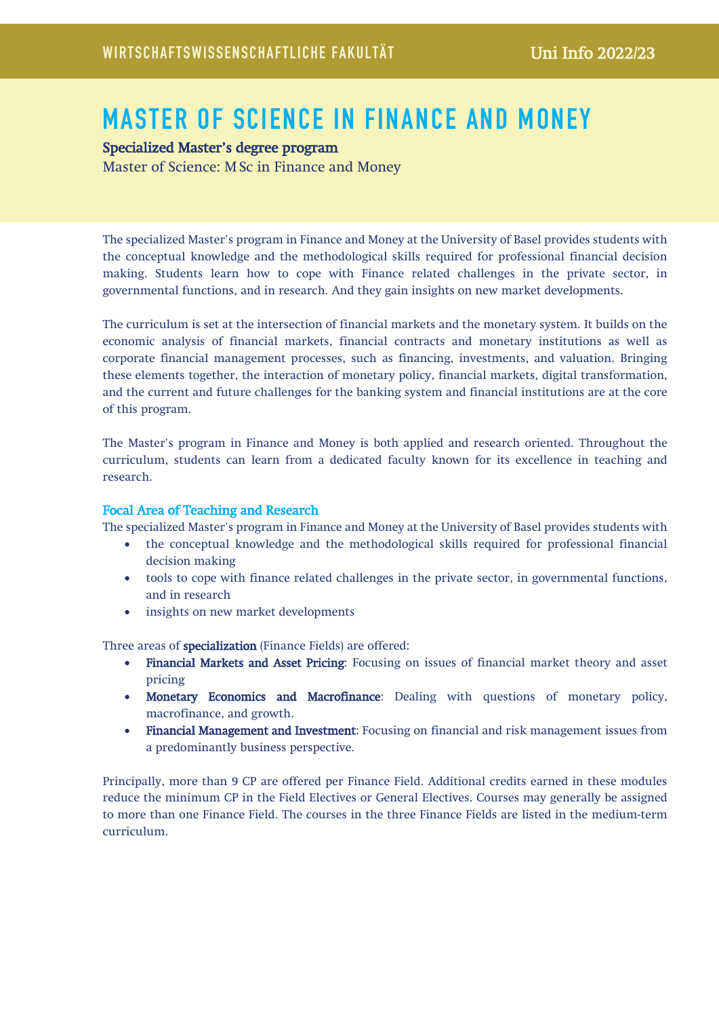# MASTER OF SCIENCE IN FINANCE AND MONEY

# Specialized Master's degree program

Master of Science: MSc in Finance and Money

The specialized Master's program in Finance and Money at the University of Basel provides students with the conceptual knowledge and the methodological skills required for professional financial decision making. Students learn how to cope with Finance related challenges in the private sector, in governmental functions, and in research. And they gain insights on new market developments.

The curriculum is set at the intersection of financial markets and the monetary system. It builds on the economic analysis of financial markets, financial contracts and monetary institutions as well as corporate financial management processes, such as financing, investments, and valuation. Bringing these elements together, the interaction of monetary policy, financial markets, digital transformation, and the current and future challenges for the banking system and financial institutions are at the core of this program.

The Master's program in Finance and Money is both applied and research oriented. Throughout the curriculum, students can learn from a dedicated faculty known for its excellence in teaching and research.

## Focal Area of Teaching and Research

The specialized Master's program in Finance and Money at the University of Basel provides students with

- the conceptual knowledge and the methodological skills required for professional financial decision making
- tools to cope with finance related challenges in the private sector, in governmental functions, and in research
- insights on new market developments

Three areas of specialization (Finance Fields) are offered:

- Financial Markets and Asset Pricing: Focusing on issues of financial market theory and asset pricing
- Monetary Economics and Macrofinance: Dealing with questions of monetary policy, macrofinance, and growth.
- Financial Management and Investment: Focusing on financial and risk management issues from a predominantly business perspective.

Principally, more than 9 CP are offered per Finance Field. Additional credits earned in these modules reduce the minimum CP in the Field Electives or General Electives. Courses may generally be assigned to more than one Finance Field. The courses in the three Finance Fields are listed in the medium-term curriculum.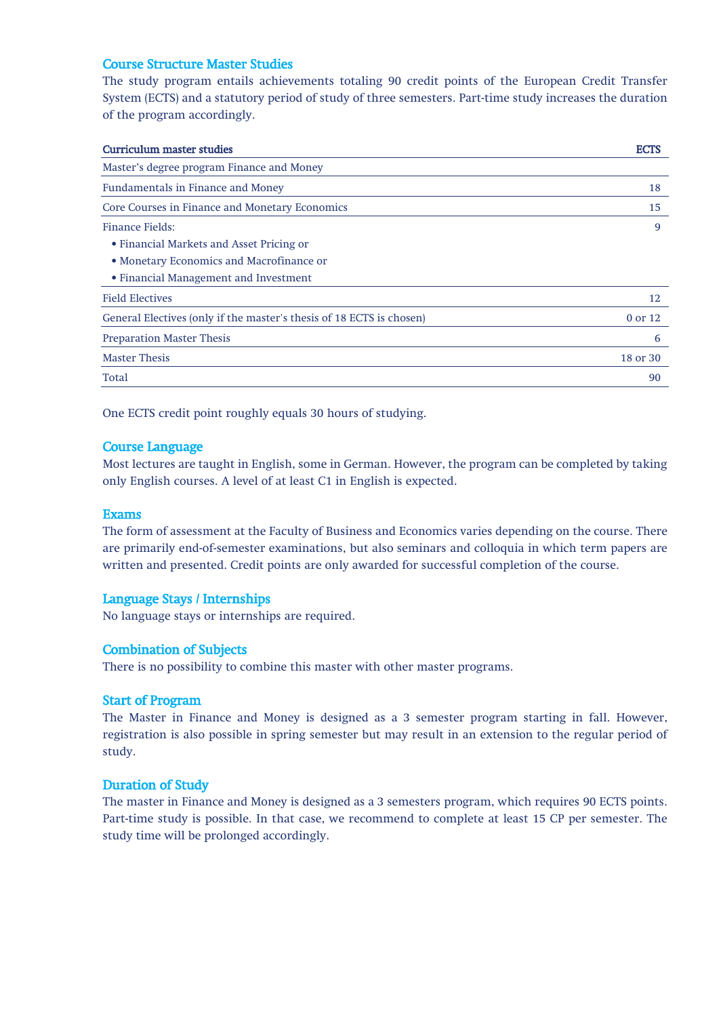#### Course Structure Master Studies

The study program entails achievements totaling 90 credit points of the European Credit Transfer System (ECTS) and a statutory period of study of three semesters. Part-time study increases the duration of the program accordingly.

| <b>Curriculum master studies</b>                                     | <b>ECTS</b> |
|----------------------------------------------------------------------|-------------|
| Master's degree program Finance and Money                            |             |
| <b>Fundamentals in Finance and Money</b>                             | 18          |
| Core Courses in Finance and Monetary Economics                       | 15          |
| Finance Fields:                                                      | 9           |
| • Financial Markets and Asset Pricing or                             |             |
| • Monetary Economics and Macrofinance or                             |             |
| • Financial Management and Investment                                |             |
| <b>Field Electives</b>                                               | 12          |
| General Electives (only if the master's thesis of 18 ECTS is chosen) | 0 or 12     |
| <b>Preparation Master Thesis</b>                                     | 6           |
| <b>Master Thesis</b>                                                 | 18 or 30    |
| Total                                                                | 90          |
|                                                                      |             |

One ECTS credit point roughly equals 30 hours of studying.

#### Course Language

Most lectures are taught in English, some in German. However, the program can be completed by taking only English courses. A level of at least C1 in English is expected.

#### **Exams**

The form of assessment at the Faculty of Business and Economics varies depending on the course. There are primarily end-of-semester examinations, but also seminars and colloquia in which term papers are written and presented. Credit points are only awarded for successful completion of the course.

#### Language Stays / Internships

No language stays or internships are required.

#### Combination of Subjects

There is no possibility to combine this master with other master programs.

#### Start of Program

The Master in Finance and Money is designed as a 3 semester program starting in fall. However, registration is also possible in spring semester but may result in an extension to the regular period of study.

#### Duration of Study

The master in Finance and Money is designed as a 3 semesters program, which requires 90 ECTS points. Part-time study is possible. In that case, we recommend to complete at least 15 CP per semester. The study time will be prolonged accordingly.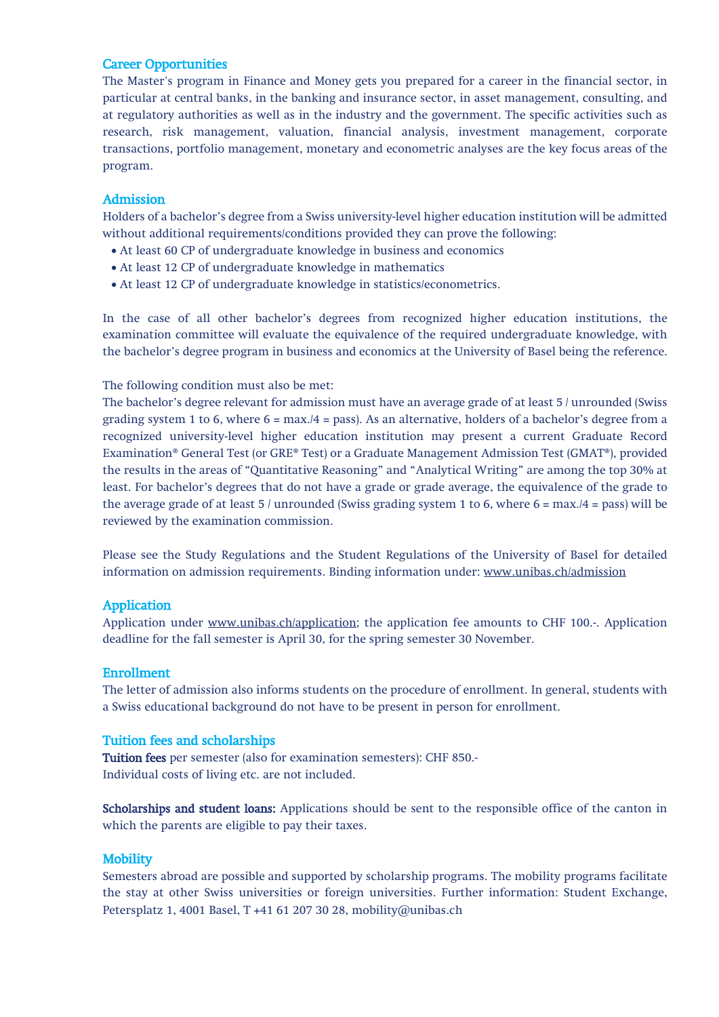#### Career Opportunities

The Master's program in Finance and Money gets you prepared for a career in the financial sector, in particular at central banks, in the banking and insurance sector, in asset management, consulting, and at regulatory authorities as well as in the industry and the government. The specific activities such as research, risk management, valuation, financial analysis, investment management, corporate transactions, portfolio management, monetary and econometric analyses are the key focus areas of the program.

## Admission

Holders of a bachelor's degree from a Swiss university-level higher education institution will be admitted without additional requirements/conditions provided they can prove the following:

- At least 60 CP of undergraduate knowledge in business and economics
- At least 12 CP of undergraduate knowledge in mathematics
- At least 12 CP of undergraduate knowledge in statistics/econometrics.

In the case of all other bachelor's degrees from recognized higher education institutions, the examination committee will evaluate the equivalence of the required undergraduate knowledge, with the bachelor's degree program in business and economics at the University of Basel being the reference.

The following condition must also be met:

The bachelor's degree relevant for admission must have an average grade of at least 5 / unrounded (Swiss grading system 1 to 6, where  $6 = max./4 = pass$ ). As an alternative, holders of a bachelor's degree from a recognized university-level higher education institution may present a current Graduate Record Examination® General Test (or GRE® Test) or a Graduate Management Admission Test (GMAT®), provided the results in the areas of "Quantitative Reasoning" and "Analytical Writing" are among the top 30% at least. For bachelor's degrees that do not have a grade or grade average, the equivalence of the grade to the average grade of at least  $5 /$  unrounded (Swiss grading system 1 to 6, where  $6 = \max.4 = \max.14 = \max.14$ ) reviewed by the examination commission.

Please see the Study Regulations and the Student Regulations of the University of Basel for detailed information on admission requirements. Binding information under: [www.unibas.ch/admission](http://www.unibas.ch/admission)

# Application

Application under [www.unibas.ch/application;](http://www.unibas.ch/application) the application fee amounts to CHF 100.-. Application deadline for the fall semester is April 30, for the spring semester 30 November.

#### Enrollment

The letter of admission also informs students on the procedure of enrollment. In general, students with a Swiss educational background do not have to be present in person for enrollment.

# Tuition fees and scholarships

Tuition fees per semester (also for examination semesters): CHF 850.- Individual costs of living etc. are not included.

Scholarships and student loans: Applications should be sent to the responsible office of the canton in which the parents are eligible to pay their taxes.

# **Mobility**

Semesters abroad are possible and supported by scholarship programs. The mobility programs facilitate the stay at other Swiss universities or foreign universities. Further information: Student Exchange, Petersplatz 1, 4001 Basel, T +41 61 207 30 28, mobility@unibas.ch